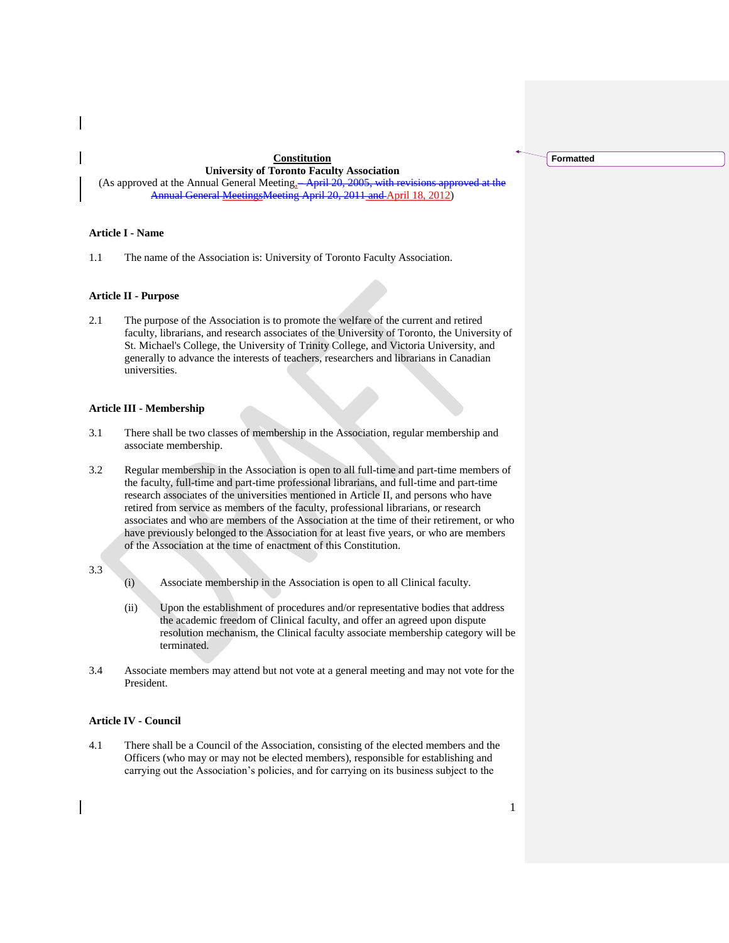## **Constitution**

**University of Toronto Faculty Association** (As approved at the Annual General Meeting<sub>3</sub>-April 20, 2005, with revisions approved at the Annual General MeetingsMeeting April 20, 2011 and April 18, 2012)

## **Article I - Name**

1.1 The name of the Association is: University of Toronto Faculty Association.

## **Article II - Purpose**

2.1 The purpose of the Association is to promote the welfare of the current and retired faculty, librarians, and research associates of the University of Toronto, the University of St. Michael's College, the University of Trinity College, and Victoria University, and generally to advance the interests of teachers, researchers and librarians in Canadian universities.

#### **Article III - Membership**

- 3.1 There shall be two classes of membership in the Association, regular membership and associate membership.
- 3.2 Regular membership in the Association is open to all full-time and part-time members of the faculty, full-time and part-time professional librarians, and full-time and part-time research associates of the universities mentioned in Article II, and persons who have retired from service as members of the faculty, professional librarians, or research associates and who are members of the Association at the time of their retirement, or who have previously belonged to the Association for at least five years, or who are members of the Association at the time of enactment of this Constitution.

## 3.3

- (i) Associate membership in the Association is open to all Clinical faculty.
- (ii) Upon the establishment of procedures and/or representative bodies that address the academic freedom of Clinical faculty, and offer an agreed upon dispute resolution mechanism, the Clinical faculty associate membership category will be terminated.
- 3.4 Associate members may attend but not vote at a general meeting and may not vote for the President.

## **Article IV - Council**

4.1 There shall be a Council of the Association, consisting of the elected members and the Officers (who may or may not be elected members), responsible for establishing and carrying out the Association's policies, and for carrying on its business subject to the

**Formatted**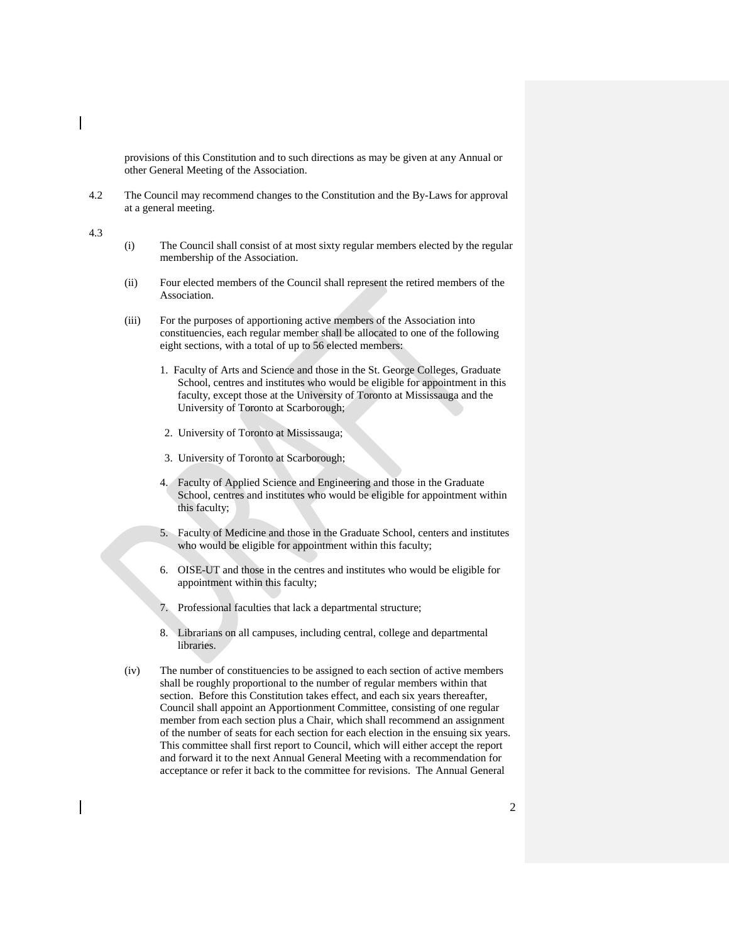provisions of this Constitution and to such directions as may be given at any Annual or other General Meeting of the Association.

4.2 The Council may recommend changes to the Constitution and the By-Laws for approval at a general meeting.

4.3

- (i) The Council shall consist of at most sixty regular members elected by the regular membership of the Association.
- (ii) Four elected members of the Council shall represent the retired members of the Association.
- (iii) For the purposes of apportioning active members of the Association into constituencies, each regular member shall be allocated to one of the following eight sections, with a total of up to 56 elected members:
	- 1. Faculty of Arts and Science and those in the St. George Colleges, Graduate School, centres and institutes who would be eligible for appointment in this faculty, except those at the University of Toronto at Mississauga and the University of Toronto at Scarborough;
	- 2. University of Toronto at Mississauga;
	- 3. University of Toronto at Scarborough;
	- 4. Faculty of Applied Science and Engineering and those in the Graduate School, centres and institutes who would be eligible for appointment within this faculty;
	- 5. Faculty of Medicine and those in the Graduate School, centers and institutes who would be eligible for appointment within this faculty;
	- 6. OISE-UT and those in the centres and institutes who would be eligible for appointment within this faculty;
	- 7. Professional faculties that lack a departmental structure;
	- 8. Librarians on all campuses, including central, college and departmental libraries.
- (iv) The number of constituencies to be assigned to each section of active members shall be roughly proportional to the number of regular members within that section. Before this Constitution takes effect, and each six years thereafter, Council shall appoint an Apportionment Committee, consisting of one regular member from each section plus a Chair, which shall recommend an assignment of the number of seats for each section for each election in the ensuing six years. This committee shall first report to Council, which will either accept the report and forward it to the next Annual General Meeting with a recommendation for acceptance or refer it back to the committee for revisions. The Annual General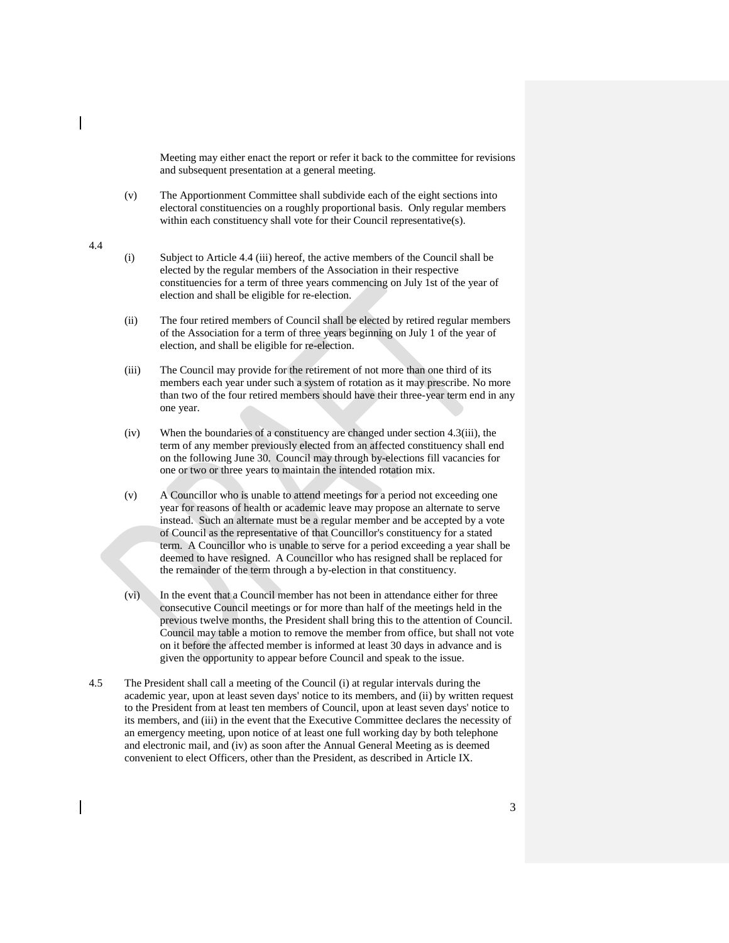Meeting may either enact the report or refer it back to the committee for revisions and subsequent presentation at a general meeting.

(v) The Apportionment Committee shall subdivide each of the eight sections into electoral constituencies on a roughly proportional basis. Only regular members within each constituency shall vote for their Council representative(s).

#### 4.4

- (i) Subject to Article 4.4 (iii) hereof, the active members of the Council shall be elected by the regular members of the Association in their respective constituencies for a term of three years commencing on July 1st of the year of election and shall be eligible for re-election.
- (ii) The four retired members of Council shall be elected by retired regular members of the Association for a term of three years beginning on July 1 of the year of election, and shall be eligible for re-election.
- (iii) The Council may provide for the retirement of not more than one third of its members each year under such a system of rotation as it may prescribe. No more than two of the four retired members should have their three-year term end in any one year.
- (iv) When the boundaries of a constituency are changed under section 4.3(iii), the term of any member previously elected from an affected constituency shall end on the following June 30. Council may through by-elections fill vacancies for one or two or three years to maintain the intended rotation mix.
- (v) A Councillor who is unable to attend meetings for a period not exceeding one year for reasons of health or academic leave may propose an alternate to serve instead. Such an alternate must be a regular member and be accepted by a vote of Council as the representative of that Councillor's constituency for a stated term. A Councillor who is unable to serve for a period exceeding a year shall be deemed to have resigned. A Councillor who has resigned shall be replaced for the remainder of the term through a by-election in that constituency.
- (vi) In the event that a Council member has not been in attendance either for three consecutive Council meetings or for more than half of the meetings held in the previous twelve months, the President shall bring this to the attention of Council. Council may table a motion to remove the member from office, but shall not vote on it before the affected member is informed at least 30 days in advance and is given the opportunity to appear before Council and speak to the issue.
- 4.5 The President shall call a meeting of the Council (i) at regular intervals during the academic year, upon at least seven days' notice to its members, and (ii) by written request to the President from at least ten members of Council, upon at least seven days' notice to its members, and (iii) in the event that the Executive Committee declares the necessity of an emergency meeting, upon notice of at least one full working day by both telephone and electronic mail, and (iv) as soon after the Annual General Meeting as is deemed convenient to elect Officers, other than the President, as described in Article IX.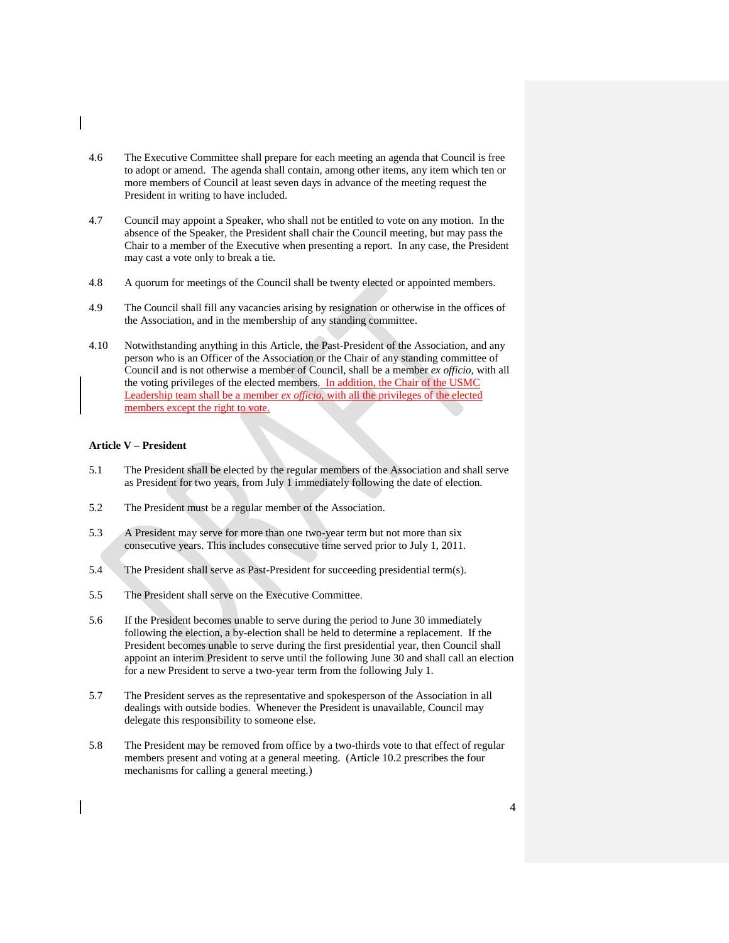- 4.6 The Executive Committee shall prepare for each meeting an agenda that Council is free to adopt or amend. The agenda shall contain, among other items, any item which ten or more members of Council at least seven days in advance of the meeting request the President in writing to have included.
- 4.7 Council may appoint a Speaker, who shall not be entitled to vote on any motion. In the absence of the Speaker, the President shall chair the Council meeting, but may pass the Chair to a member of the Executive when presenting a report. In any case, the President may cast a vote only to break a tie.
- 4.8 A quorum for meetings of the Council shall be twenty elected or appointed members.
- 4.9 The Council shall fill any vacancies arising by resignation or otherwise in the offices of the Association, and in the membership of any standing committee.
- 4.10 Notwithstanding anything in this Article, the Past-President of the Association, and any person who is an Officer of the Association or the Chair of any standing committee of Council and is not otherwise a member of Council, shall be a member *ex officio*, with all the voting privileges of the elected members. In addition, the Chair of the USMC Leadership team shall be a member *ex officio*, with all the privileges of the elected members except the right to vote.

# **Article V – President**

- 5.1 The President shall be elected by the regular members of the Association and shall serve as President for two years, from July 1 immediately following the date of election.
- 5.2 The President must be a regular member of the Association.
- 5.3 A President may serve for more than one two-year term but not more than six consecutive years. This includes consecutive time served prior to July 1, 2011.
- 5.4 The President shall serve as Past-President for succeeding presidential term(s).
- 5.5 The President shall serve on the Executive Committee.
- 5.6 If the President becomes unable to serve during the period to June 30 immediately following the election, a by-election shall be held to determine a replacement. If the President becomes unable to serve during the first presidential year, then Council shall appoint an interim President to serve until the following June 30 and shall call an election for a new President to serve a two-year term from the following July 1.
- 5.7 The President serves as the representative and spokesperson of the Association in all dealings with outside bodies. Whenever the President is unavailable, Council may delegate this responsibility to someone else.
- 5.8 The President may be removed from office by a two-thirds vote to that effect of regular members present and voting at a general meeting. (Article 10.2 prescribes the four mechanisms for calling a general meeting.)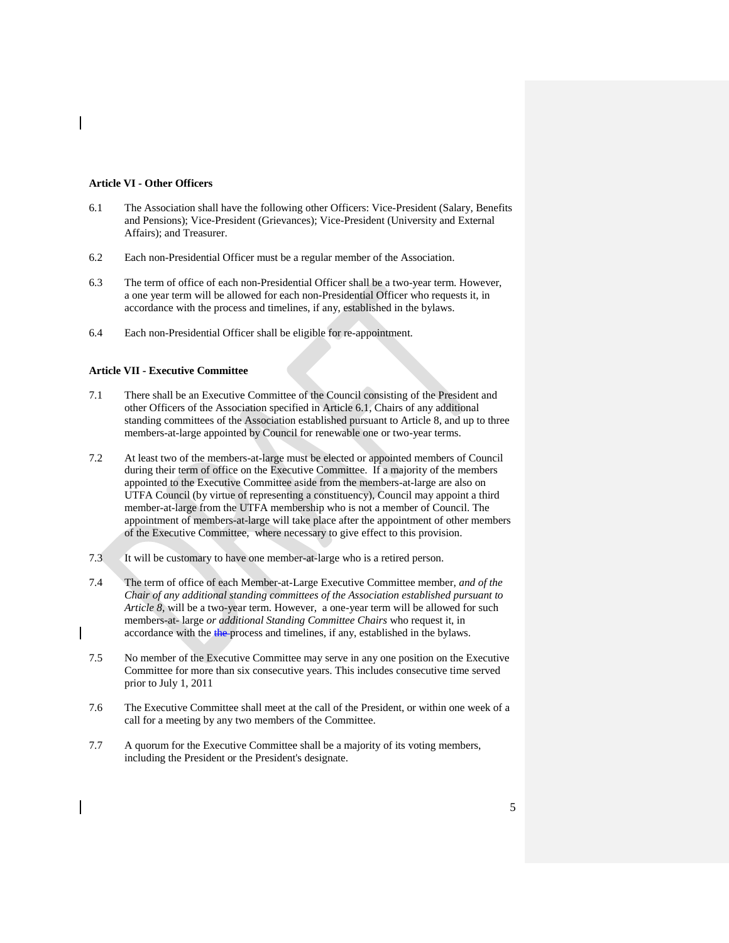## **Article VI - Other Officers**

- 6.1 The Association shall have the following other Officers: Vice-President (Salary, Benefits and Pensions); Vice-President (Grievances); Vice-President (University and External Affairs); and Treasurer.
- 6.2 Each non-Presidential Officer must be a regular member of the Association.
- 6.3 The term of office of each non-Presidential Officer shall be a two-year term. However, a one year term will be allowed for each non-Presidential Officer who requests it, in accordance with the process and timelines, if any, established in the bylaws.
- 6.4 Each non-Presidential Officer shall be eligible for re-appointment.

#### **Article VII - Executive Committee**

- 7.1 There shall be an Executive Committee of the Council consisting of the President and other Officers of the Association specified in Article 6.1, Chairs of any additional standing committees of the Association established pursuant to Article 8, and up to three members-at-large appointed by Council for renewable one or two-year terms.
- 7.2 At least two of the members-at-large must be elected or appointed members of Council during their term of office on the Executive Committee. If a majority of the members appointed to the Executive Committee aside from the members-at-large are also on UTFA Council (by virtue of representing a constituency), Council may appoint a third member-at-large from the UTFA membership who is not a member of Council. The appointment of members-at-large will take place after the appointment of other members of the Executive Committee, where necessary to give effect to this provision.
- 7.3 It will be customary to have one member-at-large who is a retired person.
- 7.4 The term of office of each Member-at-Large Executive Committee member, *and of the Chair of any additional standing committees of the Association established pursuant to Article 8,* will be a two-year term. However, a one-year term will be allowed for such members-at- large *or additional Standing Committee Chairs* who request it, in accordance with the the process and timelines, if any, established in the bylaws.
- 7.5 No member of the Executive Committee may serve in any one position on the Executive Committee for more than six consecutive years. This includes consecutive time served prior to July 1, 2011
- 7.6 The Executive Committee shall meet at the call of the President, or within one week of a call for a meeting by any two members of the Committee.
- 7.7 A quorum for the Executive Committee shall be a majority of its voting members, including the President or the President's designate.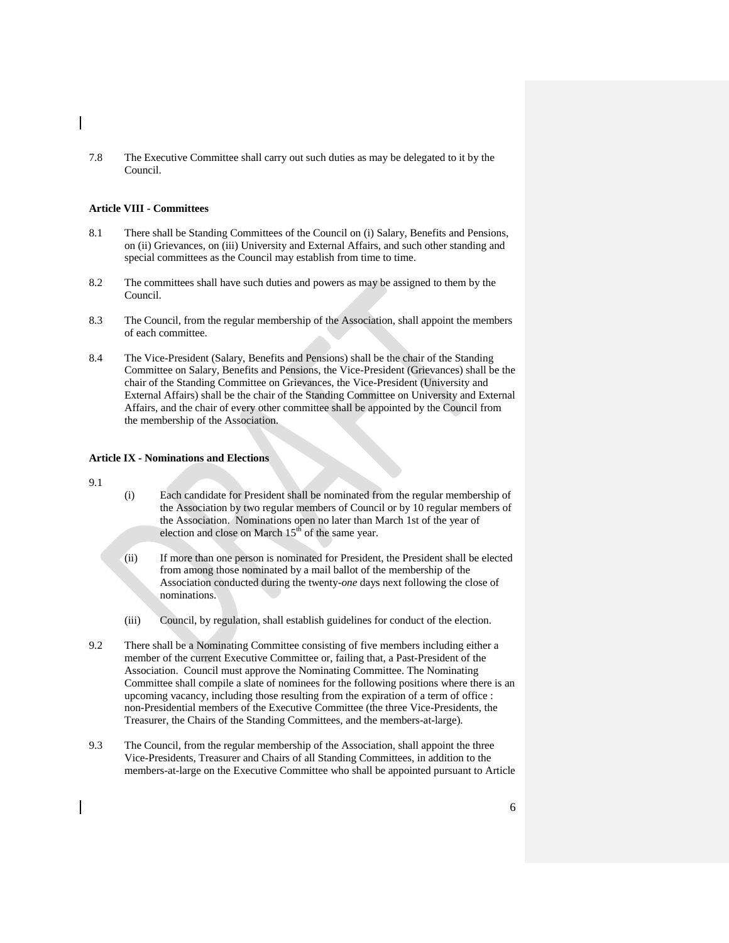7.8 The Executive Committee shall carry out such duties as may be delegated to it by the Council.

## **Article VIII - Committees**

- 8.1 There shall be Standing Committees of the Council on (i) Salary, Benefits and Pensions, on (ii) Grievances, on (iii) University and External Affairs, and such other standing and special committees as the Council may establish from time to time.
- 8.2 The committees shall have such duties and powers as may be assigned to them by the Council.
- 8.3 The Council, from the regular membership of the Association, shall appoint the members of each committee.
- 8.4 The Vice-President (Salary, Benefits and Pensions) shall be the chair of the Standing Committee on Salary, Benefits and Pensions, the Vice-President (Grievances) shall be the chair of the Standing Committee on Grievances, the Vice-President (University and External Affairs) shall be the chair of the Standing Committee on University and External Affairs, and the chair of every other committee shall be appointed by the Council from the membership of the Association.

## **Article IX - Nominations and Elections**

9.1

- (i) Each candidate for President shall be nominated from the regular membership of the Association by two regular members of Council or by 10 regular members of the Association. Nominations open no later than March 1st of the year of election and close on March  $15<sup>th</sup>$  of the same year.
- (ii) If more than one person is nominated for President, the President shall be elected from among those nominated by a mail ballot of the membership of the Association conducted during the twenty*-one* days next following the close of nominations.
- (iii) Council, by regulation, shall establish guidelines for conduct of the election.
- 9.2 There shall be a Nominating Committee consisting of five members including either a member of the current Executive Committee or, failing that, a Past-President of the Association. Council must approve the Nominating Committee. The Nominating Committee shall compile a slate of nominees for the following positions where there is an upcoming vacancy, including those resulting from the expiration of a term of office : non-Presidential members of the Executive Committee (the three Vice-Presidents, the Treasurer, the Chairs of the Standing Committees, and the members-at-large).
- 9.3 The Council, from the regular membership of the Association, shall appoint the three Vice-Presidents, Treasurer and Chairs of all Standing Committees, in addition to the members-at-large on the Executive Committee who shall be appointed pursuant to Article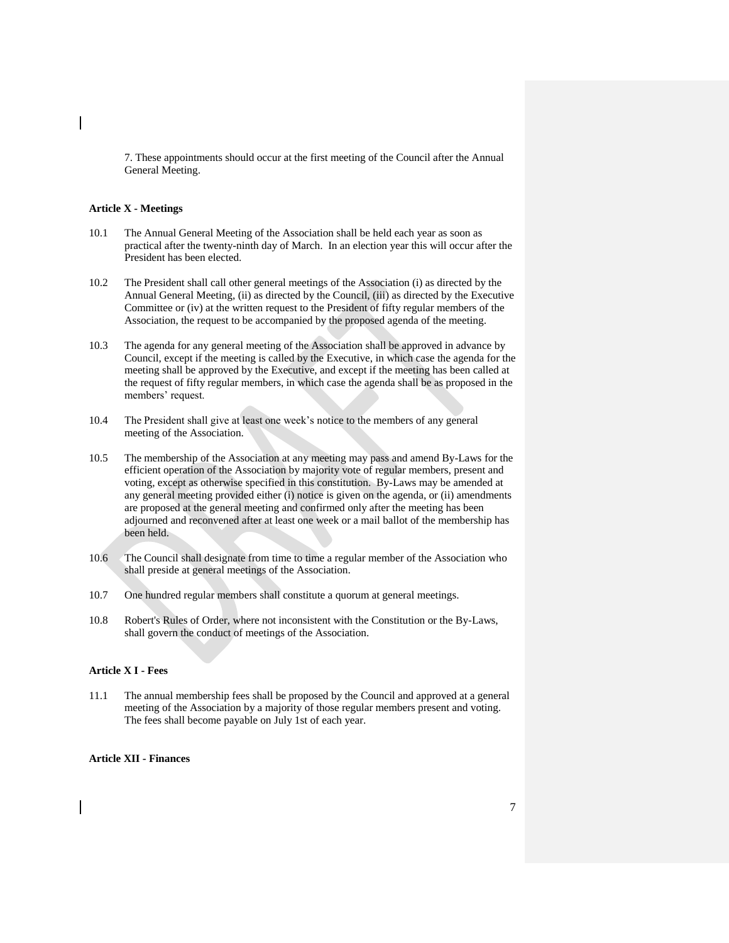7. These appointments should occur at the first meeting of the Council after the Annual General Meeting.

## **Article X - Meetings**

- 10.1 The Annual General Meeting of the Association shall be held each year as soon as practical after the twenty-ninth day of March. In an election year this will occur after the President has been elected.
- 10.2 The President shall call other general meetings of the Association (i) as directed by the Annual General Meeting, (ii) as directed by the Council, (iii) as directed by the Executive Committee or (iv) at the written request to the President of fifty regular members of the Association, the request to be accompanied by the proposed agenda of the meeting.
- 10.3 The agenda for any general meeting of the Association shall be approved in advance by Council, except if the meeting is called by the Executive, in which case the agenda for the meeting shall be approved by the Executive, and except if the meeting has been called at the request of fifty regular members, in which case the agenda shall be as proposed in the members' request.
- 10.4 The President shall give at least one week's notice to the members of any general meeting of the Association.
- 10.5 The membership of the Association at any meeting may pass and amend By-Laws for the efficient operation of the Association by majority vote of regular members, present and voting, except as otherwise specified in this constitution. By-Laws may be amended at any general meeting provided either (i) notice is given on the agenda, or (ii) amendments are proposed at the general meeting and confirmed only after the meeting has been adjourned and reconvened after at least one week or a mail ballot of the membership has been held.
- 10.6 The Council shall designate from time to time a regular member of the Association who shall preside at general meetings of the Association.
- 10.7 One hundred regular members shall constitute a quorum at general meetings.
- 10.8 Robert's Rules of Order, where not inconsistent with the Constitution or the By-Laws, shall govern the conduct of meetings of the Association.

## **Article X I - Fees**

11.1 The annual membership fees shall be proposed by the Council and approved at a general meeting of the Association by a majority of those regular members present and voting. The fees shall become payable on July 1st of each year.

## **Article XII - Finances**